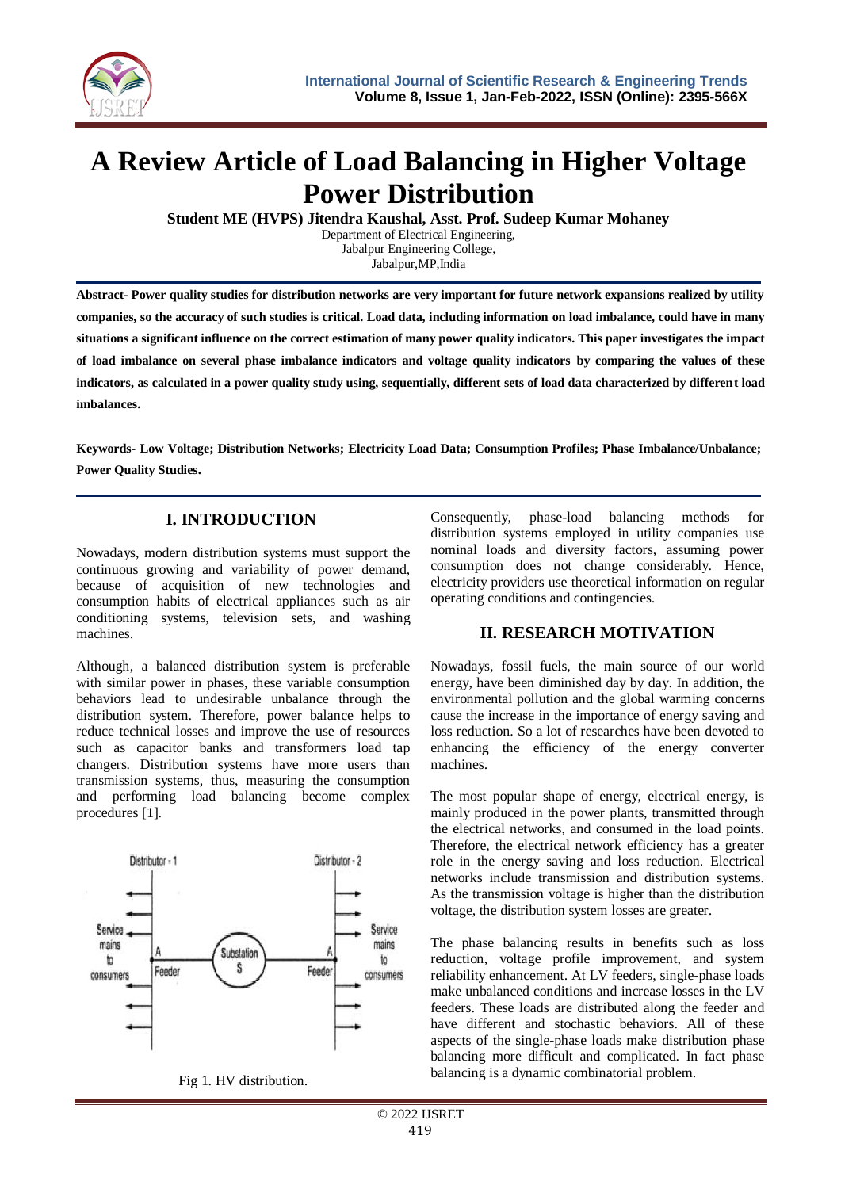

# **A Review Article of Load Balancing in Higher Voltage Power Distribution**

**Student ME (HVPS) Jitendra Kaushal, Asst. Prof. Sudeep Kumar Mohaney**

Department of Electrical Engineering, Jabalpur Engineering College,

Jabalpur,MP,India

**Abstract- Power quality studies for distribution networks are very important for future network expansions realized by utility companies, so the accuracy of such studies is critical. Load data, including information on load imbalance, could have in many situations a significant influence on the correct estimation of many power quality indicators. This paper investigates the impact of load imbalance on several phase imbalance indicators and voltage quality indicators by comparing the values of these indicators, as calculated in a power quality study using, sequentially, different sets of load data characterized by different load imbalances.**

**Keywords- Low Voltage; Distribution Networks; Electricity Load Data; Consumption Profiles; Phase Imbalance/Unbalance; Power Quality Studies.**

## **I. INTRODUCTION**

Nowadays, modern distribution systems must support the continuous growing and variability of power demand, because of acquisition of new technologies and consumption habits of electrical appliances such as air conditioning systems, television sets, and washing machines.

Although, a balanced distribution system is preferable with similar power in phases, these variable consumption behaviors lead to undesirable unbalance through the distribution system. Therefore, power balance helps to reduce technical losses and improve the use of resources such as capacitor banks and transformers load tap changers. Distribution systems have more users than transmission systems, thus, measuring the consumption and performing load balancing become complex procedures [1].



Fig 1. HV distribution.

Consequently, phase-load balancing methods for distribution systems employed in utility companies use nominal loads and diversity factors, assuming power consumption does not change considerably. Hence, electricity providers use theoretical information on regular operating conditions and contingencies.

## **II. RESEARCH MOTIVATION**

Nowadays, fossil fuels, the main source of our world energy, have been diminished day by day. In addition, the environmental pollution and the global warming concerns cause the increase in the importance of energy saving and loss reduction. So a lot of researches have been devoted to enhancing the efficiency of the energy converter machines.

The most popular shape of energy, electrical energy, is mainly produced in the power plants, transmitted through the electrical networks, and consumed in the load points. Therefore, the electrical network efficiency has a greater role in the energy saving and loss reduction. Electrical networks include transmission and distribution systems. As the transmission voltage is higher than the distribution voltage, the distribution system losses are greater.

The phase balancing results in benefits such as loss reduction, voltage profile improvement, and system reliability enhancement. At LV feeders, single-phase loads make unbalanced conditions and increase losses in the LV feeders. These loads are distributed along the feeder and have different and stochastic behaviors. All of these aspects of the single-phase loads make distribution phase balancing more difficult and complicated. In fact phase balancing is a dynamic combinatorial problem.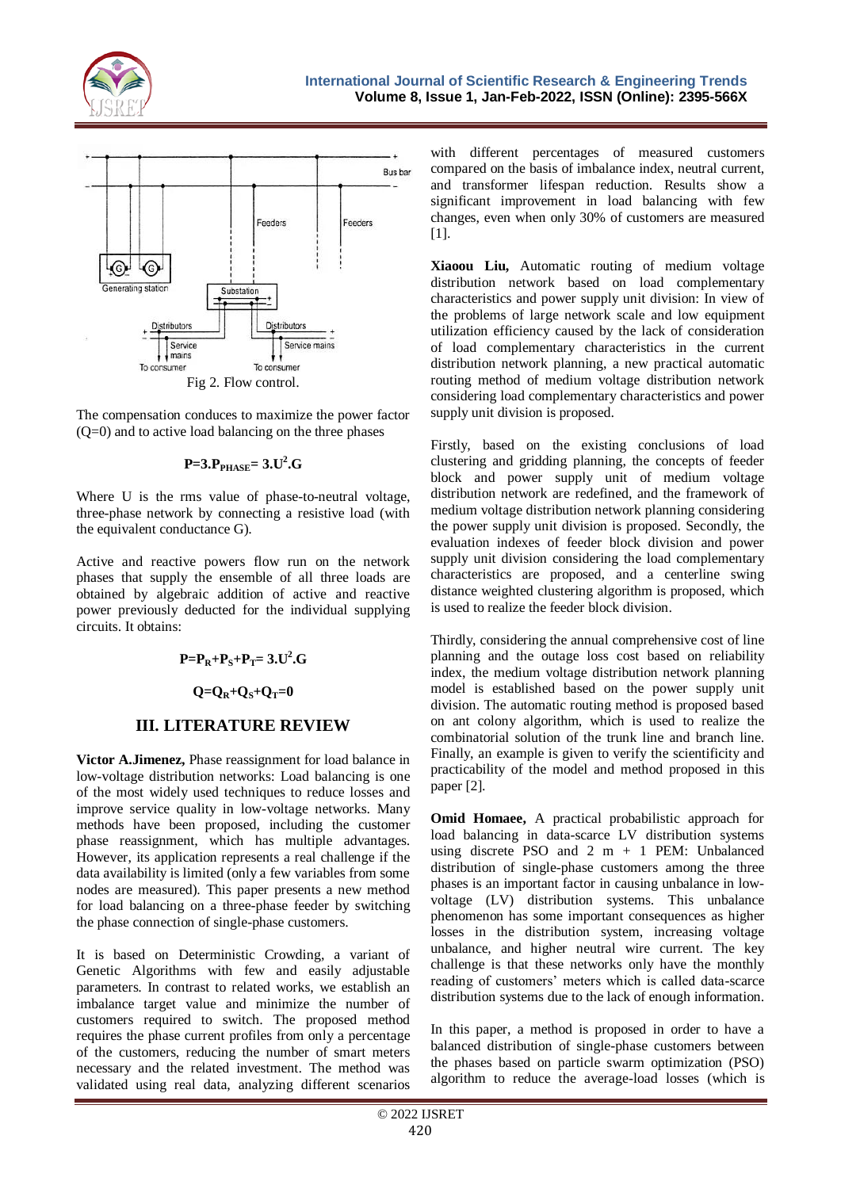



The compensation conduces to maximize the power factor  $(Q=0)$  and to active load balancing on the three phases

### **P=3.PPHASE= 3.U<sup>2</sup> .G**

Where U is the rms value of phase-to-neutral voltage, three-phase network by connecting a resistive load (with the equivalent conductance G).

Active and reactive powers flow run on the network phases that supply the ensemble of all three loads are obtained by algebraic addition of active and reactive power previously deducted for the individual supplying circuits. It obtains:

$$
P = P_R + P_S + P_T = 3.U^2.G
$$

#### $Q = Q_R + Q_S + Q_T = 0$

## **III. LITERATURE REVIEW**

**Victor A.Jimenez,** Phase reassignment for load balance in low-voltage distribution networks: Load balancing is one of the most widely used techniques to reduce losses and improve service quality in low-voltage networks. Many methods have been proposed, including the customer phase reassignment, which has multiple advantages. However, its application represents a real challenge if the data availability is limited (only a few variables from some nodes are measured). This paper presents a new method for load balancing on a three-phase feeder by switching the phase connection of single-phase customers.

It is based on Deterministic Crowding, a variant of Genetic Algorithms with few and easily adjustable parameters. In contrast to related works, we establish an imbalance target value and minimize the number of customers required to switch. The proposed method requires the phase current profiles from only a percentage of the customers, reducing the number of smart meters necessary and the related investment. The method was validated using real data, analyzing different scenarios

with different percentages of measured customers compared on the basis of imbalance index, neutral current, and transformer lifespan reduction. Results show a significant improvement in load balancing with few changes, even when only 30% of customers are measured [1].

**Xiaoou Liu,** Automatic routing of medium voltage distribution network based on load complementary characteristics and power supply unit division: In view of the problems of large network scale and low equipment utilization efficiency caused by the lack of consideration of load complementary characteristics in the current distribution network planning, a new practical automatic routing method of medium voltage distribution network considering load complementary characteristics and power supply unit division is proposed.

Firstly, based on the existing conclusions of load clustering and gridding planning, the concepts of feeder block and power supply unit of medium voltage distribution network are redefined, and the framework of medium voltage distribution network planning considering the power supply unit division is proposed. Secondly, the evaluation indexes of feeder block division and power supply unit division considering the load complementary characteristics are proposed, and a centerline swing distance weighted clustering algorithm is proposed, which is used to realize the feeder block division.

Thirdly, considering the annual comprehensive cost of line planning and the outage loss cost based on reliability index, the medium voltage distribution network planning model is established based on the power supply unit division. The automatic routing method is proposed based on ant colony algorithm, which is used to realize the combinatorial solution of the trunk line and branch line. Finally, an example is given to verify the scientificity and practicability of the model and method proposed in this paper [2].

**Omid Homaee,** A practical probabilistic approach for load balancing in data-scarce LV distribution systems using discrete PSO and  $2 \text{ m } + 1$  PEM: Unbalanced distribution of single-phase customers among the three phases is an important factor in causing unbalance in lowvoltage (LV) distribution systems. This unbalance phenomenon has some important consequences as higher losses in the distribution system, increasing voltage unbalance, and higher neutral wire current. The key challenge is that these networks only have the monthly reading of customers' meters which is called data-scarce distribution systems due to the lack of enough information.

In this paper, a method is proposed in order to have a balanced distribution of single-phase customers between the phases based on particle swarm optimization (PSO) algorithm to reduce the average-load losses (which is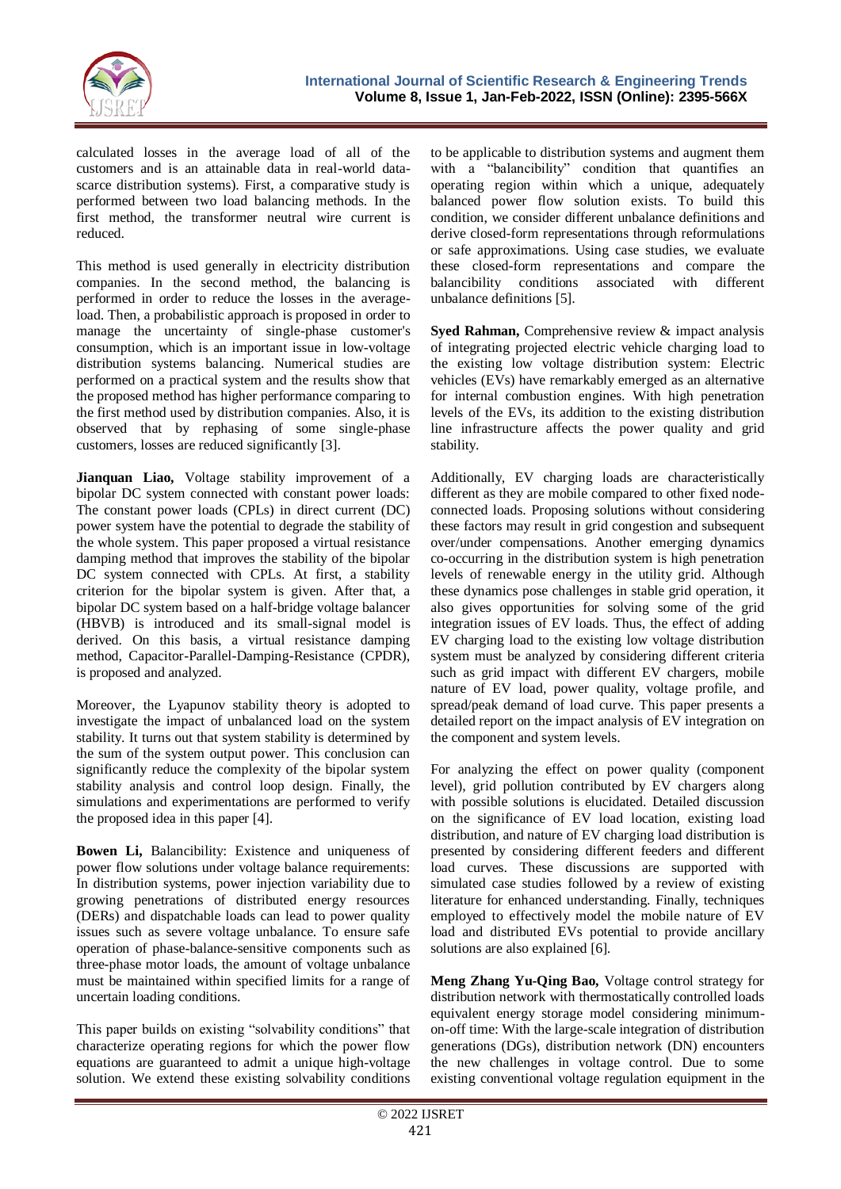

calculated losses in the average load of all of the customers and is an attainable data in real-world datascarce distribution systems). First, a comparative study is performed between two load balancing methods. In the first method, the transformer neutral wire current is reduced.

This method is used generally in electricity distribution companies. In the second method, the balancing is performed in order to reduce the losses in the averageload. Then, a probabilistic approach is proposed in order to manage the uncertainty of single-phase customer's consumption, which is an important issue in low-voltage distribution systems balancing. Numerical studies are performed on a practical system and the results show that the proposed method has higher performance comparing to the first method used by distribution companies. Also, it is observed that by rephasing of some single-phase customers, losses are reduced significantly [3].

**Jianquan Liao,** Voltage stability improvement of a bipolar DC system connected with constant power loads: The constant power loads (CPLs) in direct current (DC) power system have the potential to degrade the stability of the whole system. This paper proposed a virtual resistance damping method that improves the stability of the bipolar DC system connected with CPLs. At first, a stability criterion for the bipolar system is given. After that, a bipolar DC system based on a half-bridge voltage balancer (HBVB) is introduced and its small-signal model is derived. On this basis, a virtual resistance damping method, Capacitor-Parallel-Damping-Resistance (CPDR), is proposed and analyzed.

Moreover, the Lyapunov stability theory is adopted to investigate the impact of unbalanced load on the system stability. It turns out that system stability is determined by the sum of the system output power. This conclusion can significantly reduce the complexity of the bipolar system stability analysis and control loop design. Finally, the simulations and experimentations are performed to verify the proposed idea in this paper [4].

**Bowen Li,** Balancibility: Existence and uniqueness of power flow solutions under voltage balance requirements: In distribution systems, power injection variability due to growing penetrations of distributed energy resources (DERs) and dispatchable loads can lead to power quality issues such as severe voltage unbalance. To ensure safe operation of phase-balance-sensitive components such as three-phase motor loads, the amount of voltage unbalance must be maintained within specified limits for a range of uncertain loading conditions.

This paper builds on existing "solvability conditions" that characterize operating regions for which the power flow equations are guaranteed to admit a unique high-voltage solution. We extend these existing solvability conditions

to be applicable to distribution systems and augment them with a "balancibility" condition that quantifies an operating region within which a unique, adequately balanced power flow solution exists. To build this condition, we consider different unbalance definitions and derive closed-form representations through reformulations or safe approximations. Using case studies, we evaluate these closed-form representations and compare the balancibility conditions associated with different unbalance definitions [5].

**Syed Rahman,** Comprehensive review & impact analysis of integrating projected electric vehicle charging load to the existing low voltage distribution system: Electric vehicles (EVs) have remarkably emerged as an alternative for internal combustion engines. With high penetration levels of the EVs, its addition to the existing distribution line infrastructure affects the power quality and grid stability.

Additionally, EV charging loads are characteristically different as they are mobile compared to other fixed nodeconnected loads. Proposing solutions without considering these factors may result in grid congestion and subsequent over/under compensations. Another emerging dynamics co-occurring in the distribution system is high penetration levels of renewable energy in the utility grid. Although these dynamics pose challenges in stable grid operation, it also gives opportunities for solving some of the grid integration issues of EV loads. Thus, the effect of adding EV charging load to the existing low voltage distribution system must be analyzed by considering different criteria such as grid impact with different EV chargers, mobile nature of EV load, power quality, voltage profile, and spread/peak demand of load curve. This paper presents a detailed report on the impact analysis of EV integration on the component and system levels.

For analyzing the effect on power quality (component level), grid pollution contributed by EV chargers along with possible solutions is elucidated. Detailed discussion on the significance of EV load location, existing load distribution, and nature of EV charging load distribution is presented by considering different feeders and different load curves. These discussions are supported with simulated case studies followed by a review of existing literature for enhanced understanding. Finally, techniques employed to effectively model the mobile nature of EV load and distributed EVs potential to provide ancillary solutions are also explained [6].

**Meng Zhang Yu-Qing Bao,** Voltage control strategy for distribution network with thermostatically controlled loads equivalent energy storage model considering minimumon-off time: With the large-scale integration of distribution generations (DGs), distribution network (DN) encounters the new challenges in voltage control. Due to some existing conventional voltage regulation equipment in the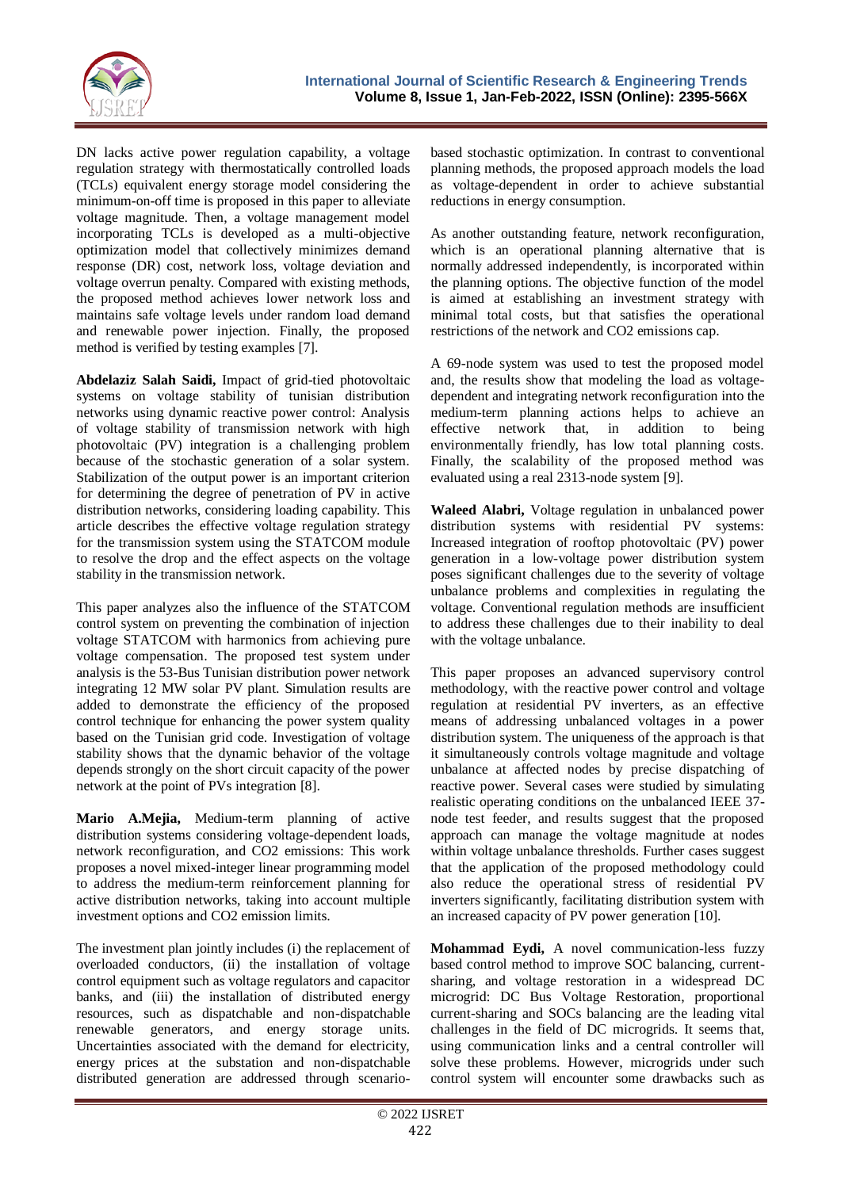

DN lacks active power regulation capability, a voltage regulation strategy with thermostatically controlled loads (TCLs) equivalent energy storage model considering the minimum-on-off time is proposed in this paper to alleviate voltage magnitude. Then, a voltage management model incorporating TCLs is developed as a multi-objective optimization model that collectively minimizes demand response (DR) cost, network loss, voltage deviation and voltage overrun penalty. Compared with existing methods, the proposed method achieves lower network loss and maintains safe voltage levels under random load demand and renewable power injection. Finally, the proposed method is verified by testing examples [7].

**Abdelaziz Salah Saidi,** Impact of grid-tied photovoltaic systems on voltage stability of tunisian distribution networks using dynamic reactive power control: Analysis of voltage stability of transmission network with high photovoltaic (PV) integration is a challenging problem because of the stochastic generation of a solar system. Stabilization of the output power is an important criterion for determining the degree of penetration of PV in active distribution networks, considering loading capability. This article describes the effective voltage regulation strategy for the transmission system using the STATCOM module to resolve the drop and the effect aspects on the voltage stability in the transmission network.

This paper analyzes also the influence of the STATCOM control system on preventing the combination of injection voltage STATCOM with harmonics from achieving pure voltage compensation. The proposed test system under analysis is the 53-Bus Tunisian distribution power network integrating 12 MW solar PV plant. Simulation results are added to demonstrate the efficiency of the proposed control technique for enhancing the power system quality based on the Tunisian grid code. Investigation of voltage stability shows that the dynamic behavior of the voltage depends strongly on the short circuit capacity of the power network at the point of PVs integration [8].

**Mario A.Mejia,** Medium-term planning of active distribution systems considering voltage-dependent loads, network reconfiguration, and CO2 emissions: This work proposes a novel mixed-integer linear programming model to address the medium-term reinforcement planning for active distribution networks, taking into account multiple investment options and CO2 emission limits.

The investment plan jointly includes (i) the replacement of overloaded conductors, (ii) the installation of voltage control equipment such as voltage regulators and capacitor banks, and (iii) the installation of distributed energy resources, such as dispatchable and non-dispatchable renewable generators, and energy storage units. Uncertainties associated with the demand for electricity, energy prices at the substation and non-dispatchable distributed generation are addressed through scenario-

based stochastic optimization. In contrast to conventional planning methods, the proposed approach models the load as voltage-dependent in order to achieve substantial reductions in energy consumption.

As another outstanding feature, network reconfiguration, which is an operational planning alternative that is normally addressed independently, is incorporated within the planning options. The objective function of the model is aimed at establishing an investment strategy with minimal total costs, but that satisfies the operational restrictions of the network and CO2 emissions cap.

A 69-node system was used to test the proposed model and, the results show that modeling the load as voltagedependent and integrating network reconfiguration into the medium-term planning actions helps to achieve an effective network that, in addition to being environmentally friendly, has low total planning costs. Finally, the scalability of the proposed method was evaluated using a real 2313-node system [9].

**Waleed Alabri,** Voltage regulation in unbalanced power distribution systems with residential PV systems: Increased integration of rooftop photovoltaic (PV) power generation in a low-voltage power distribution system poses significant challenges due to the severity of voltage unbalance problems and complexities in regulating the voltage. Conventional regulation methods are insufficient to address these challenges due to their inability to deal with the voltage unbalance.

This paper proposes an advanced supervisory control methodology, with the reactive power control and voltage regulation at residential PV inverters, as an effective means of addressing unbalanced voltages in a power distribution system. The uniqueness of the approach is that it simultaneously controls voltage magnitude and voltage unbalance at affected nodes by precise dispatching of reactive power. Several cases were studied by simulating realistic operating conditions on the unbalanced IEEE 37 node test feeder, and results suggest that the proposed approach can manage the voltage magnitude at nodes within voltage unbalance thresholds. Further cases suggest that the application of the proposed methodology could also reduce the operational stress of residential PV inverters significantly, facilitating distribution system with an increased capacity of PV power generation [10].

**Mohammad Eydi,** A novel communication-less fuzzy based control method to improve SOC balancing, currentsharing, and voltage restoration in a widespread DC microgrid: DC Bus Voltage Restoration, proportional current-sharing and SOCs balancing are the leading vital challenges in the field of DC microgrids. It seems that, using communication links and a central controller will solve these problems. However, microgrids under such control system will encounter some drawbacks such as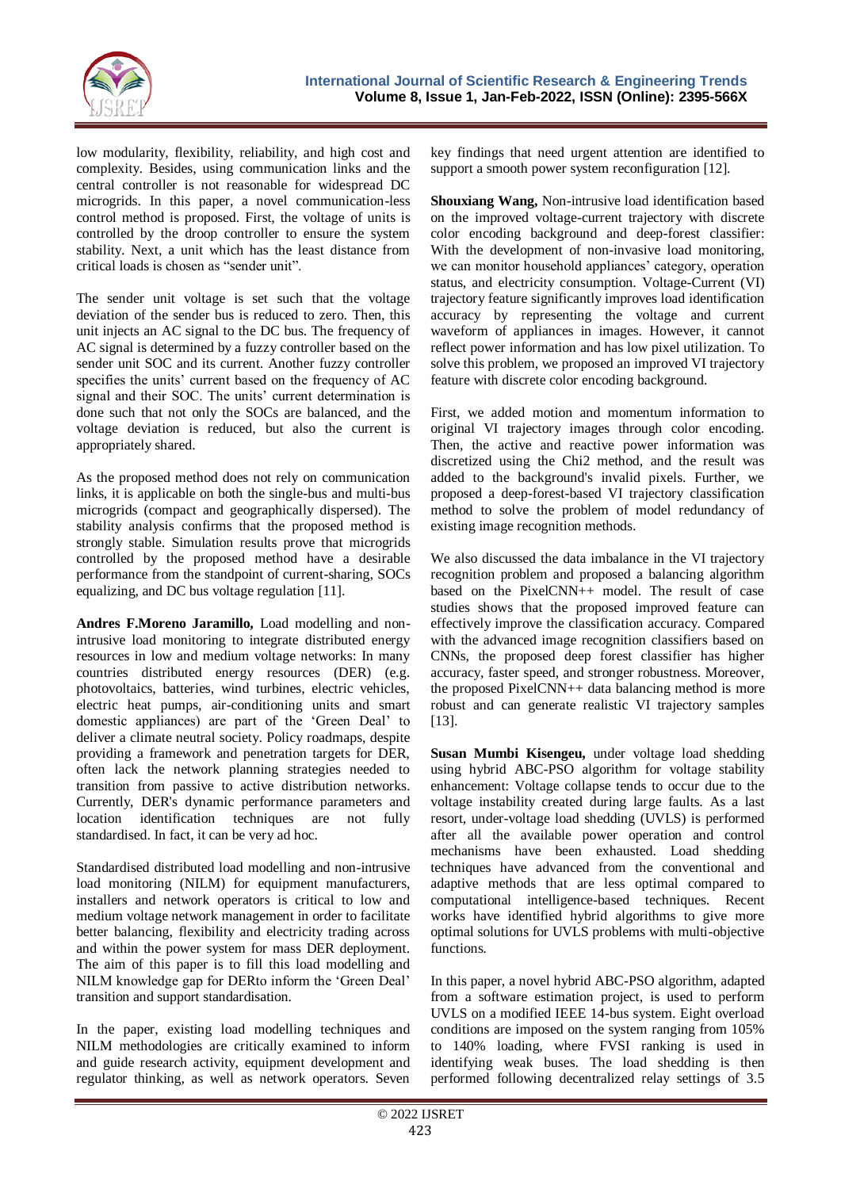

low modularity, flexibility, reliability, and high cost and complexity. Besides, using communication links and the central controller is not reasonable for widespread DC microgrids. In this paper, a novel communication-less control method is proposed. First, the voltage of units is controlled by the droop controller to ensure the system stability. Next, a unit which has the least distance from critical loads is chosen as "sender unit".

The sender unit voltage is set such that the voltage deviation of the sender bus is reduced to zero. Then, this unit injects an AC signal to the DC bus. The frequency of AC signal is determined by a fuzzy controller based on the sender unit SOC and its current. Another fuzzy controller specifies the units' current based on the frequency of AC signal and their SOC. The units' current determination is done such that not only the SOCs are balanced, and the voltage deviation is reduced, but also the current is appropriately shared.

As the proposed method does not rely on communication links, it is applicable on both the single-bus and multi-bus microgrids (compact and geographically dispersed). The stability analysis confirms that the proposed method is strongly stable. Simulation results prove that microgrids controlled by the proposed method have a desirable performance from the standpoint of current-sharing, SOCs equalizing, and DC bus voltage regulation [11].

**Andres F.Moreno Jaramillo,** Load modelling and nonintrusive load monitoring to integrate distributed energy resources in low and medium voltage networks: In many countries distributed energy resources (DER) (e.g. photovoltaics, batteries, wind turbines, electric vehicles, electric heat pumps, air-conditioning units and smart domestic appliances) are part of the "Green Deal" to deliver a climate neutral society. Policy roadmaps, despite providing a framework and penetration targets for DER, often lack the network planning strategies needed to transition from passive to active distribution networks. Currently, DER's dynamic performance parameters and location identification techniques are not fully standardised. In fact, it can be very ad hoc.

Standardised distributed load modelling and non-intrusive load monitoring (NILM) for equipment manufacturers, installers and network operators is critical to low and medium voltage network management in order to facilitate better balancing, flexibility and electricity trading across and within the power system for mass DER deployment. The aim of this paper is to fill this load modelling and NILM knowledge gap for DERto inform the "Green Deal" transition and support standardisation.

In the paper, existing load modelling techniques and NILM methodologies are critically examined to inform and guide research activity, equipment development and regulator thinking, as well as network operators. Seven

key findings that need urgent attention are identified to support a smooth power system reconfiguration [12].

**Shouxiang Wang,** Non-intrusive load identification based on the improved voltage-current trajectory with discrete color encoding background and deep-forest classifier: With the development of non-invasive load monitoring. we can monitor household appliances' category, operation status, and electricity consumption. Voltage-Current (VI) trajectory feature significantly improves load identification accuracy by representing the voltage and current waveform of appliances in images. However, it cannot reflect power information and has low pixel utilization. To solve this problem, we proposed an improved VI trajectory feature with discrete color encoding background.

First, we added motion and momentum information to original VI trajectory images through color encoding. Then, the active and reactive power information was discretized using the Chi2 method, and the result was added to the background's invalid pixels. Further, we proposed a deep-forest-based VI trajectory classification method to solve the problem of model redundancy of existing image recognition methods.

We also discussed the data imbalance in the VI trajectory recognition problem and proposed a balancing algorithm based on the PixelCNN++ model. The result of case studies shows that the proposed improved feature can effectively improve the classification accuracy. Compared with the advanced image recognition classifiers based on CNNs, the proposed deep forest classifier has higher accuracy, faster speed, and stronger robustness. Moreover, the proposed PixelCNN++ data balancing method is more robust and can generate realistic VI trajectory samples [13].

**Susan Mumbi Kisengeu,** under voltage load shedding using hybrid ABC-PSO algorithm for voltage stability enhancement: Voltage collapse tends to occur due to the voltage instability created during large faults. As a last resort, under-voltage load shedding (UVLS) is performed after all the available power operation and control mechanisms have been exhausted. Load shedding techniques have advanced from the conventional and adaptive methods that are less optimal compared to computational intelligence-based techniques. Recent works have identified hybrid algorithms to give more optimal solutions for UVLS problems with multi-objective functions.

In this paper, a novel hybrid ABC-PSO algorithm, adapted from a software estimation project, is used to perform UVLS on a modified IEEE 14-bus system. Eight overload conditions are imposed on the system ranging from 105% to 140% loading, where FVSI ranking is used in identifying weak buses. The load shedding is then performed following decentralized relay settings of 3.5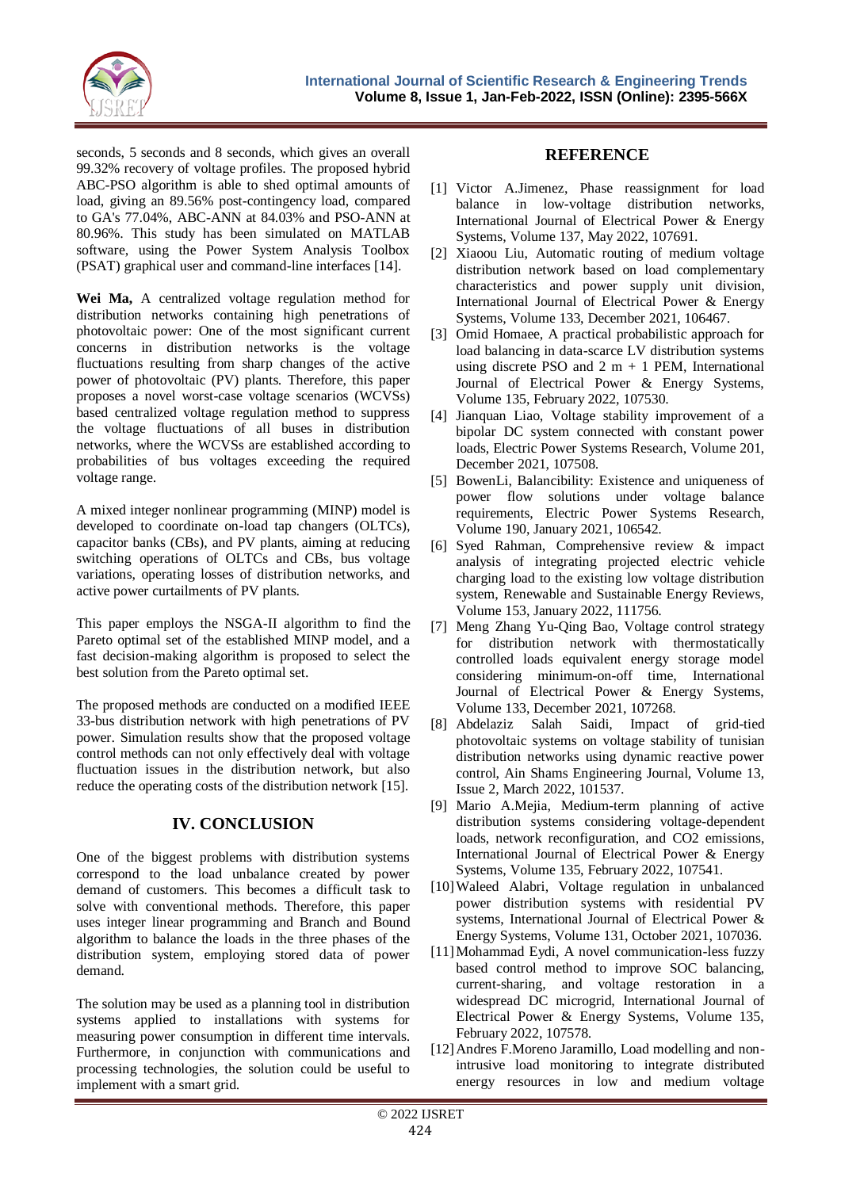

seconds, 5 seconds and 8 seconds, which gives an overall 99.32% recovery of voltage profiles. The proposed hybrid ABC-PSO algorithm is able to shed optimal amounts of load, giving an 89.56% post-contingency load, compared to GA's 77.04%, ABC-ANN at 84.03% and PSO-ANN at 80.96%. This study has been simulated on MATLAB software, using the Power System Analysis Toolbox (PSAT) graphical user and command-line interfaces [14].

**Wei Ma,** A centralized voltage regulation method for distribution networks containing high penetrations of photovoltaic power: One of the most significant current concerns in distribution networks is the voltage fluctuations resulting from sharp changes of the active power of photovoltaic (PV) plants. Therefore, this paper proposes a novel worst-case voltage scenarios (WCVSs) based centralized voltage regulation method to suppress the voltage fluctuations of all buses in distribution networks, where the WCVSs are established according to probabilities of bus voltages exceeding the required voltage range.

A mixed integer nonlinear programming (MINP) model is developed to coordinate on-load tap changers (OLTCs), capacitor banks (CBs), and PV plants, aiming at reducing switching operations of OLTCs and CBs, bus voltage variations, operating losses of distribution networks, and active power curtailments of PV plants.

This paper employs the NSGA-II algorithm to find the Pareto optimal set of the established MINP model, and a fast decision-making algorithm is proposed to select the best solution from the Pareto optimal set.

The proposed methods are conducted on a modified IEEE 33-bus distribution network with high penetrations of PV power. Simulation results show that the proposed voltage control methods can not only effectively deal with voltage fluctuation issues in the distribution network, but also reduce the operating costs of the distribution network [15].

## **IV. CONCLUSION**

One of the biggest problems with distribution systems correspond to the load unbalance created by power demand of customers. This becomes a difficult task to solve with conventional methods. Therefore, this paper uses integer linear programming and Branch and Bound algorithm to balance the loads in the three phases of the distribution system, employing stored data of power demand.

The solution may be used as a planning tool in distribution systems applied to installations with systems for measuring power consumption in different time intervals. Furthermore, in conjunction with communications and processing technologies, the solution could be useful to implement with a smart grid.

#### **REFERENCE**

- [1] Victor A.Jimenez, Phase reassignment for load balance in low-voltage distribution networks, International Journal of Electrical Power & Energy Systems, Volume 137, May 2022, 107691.
- [2] Xiaoou Liu, Automatic routing of medium voltage distribution network based on load complementary characteristics and power supply unit division, International Journal of Electrical Power & Energy Systems, Volume 133, December 2021, 106467.
- [3] Omid Homaee, A practical probabilistic approach for load balancing in data-scarce LV distribution systems using discrete PSO and  $2 \text{ m} + 1 \text{ PEM}$ , International Journal of Electrical Power & Energy Systems, Volume 135, February 2022, 107530.
- [4] Jianquan Liao, Voltage stability improvement of a bipolar DC system connected with constant power loads, Electric Power Systems Research, Volume 201, December 2021, 107508.
- [5] BowenLi, Balancibility: Existence and uniqueness of power flow solutions under voltage balance requirements, Electric Power Systems Research, Volume 190, January 2021, 106542.
- [6] Syed Rahman, Comprehensive review & impact analysis of integrating projected electric vehicle charging load to the existing low voltage distribution system, Renewable and Sustainable Energy Reviews, Volume 153, January 2022, 111756.
- [7] Meng Zhang Yu-Qing Bao, Voltage control strategy for distribution network with thermostatically controlled loads equivalent energy storage model considering minimum-on-off time, International Journal of Electrical Power & Energy Systems, Volume 133, December 2021, 107268.
- [8] Abdelaziz Salah Saidi, Impact of grid-tied photovoltaic systems on voltage stability of tunisian distribution networks using dynamic reactive power control, Ain Shams Engineering Journal, Volume 13, Issue 2, March 2022, 101537.
- [9] Mario A.Mejia, Medium-term planning of active distribution systems considering voltage-dependent loads, network reconfiguration, and CO2 emissions, International Journal of Electrical Power & Energy Systems, Volume 135, February 2022, 107541.
- [10]Waleed Alabri, Voltage regulation in unbalanced power distribution systems with residential PV systems, International Journal of Electrical Power & Energy Systems, Volume 131, October 2021, 107036.
- [11]Mohammad Eydi, A novel communication-less fuzzy based control method to improve SOC balancing, current-sharing, and voltage restoration in a widespread DC microgrid, International Journal of Electrical Power & Energy Systems, Volume 135, February 2022, 107578.
- [12]Andres F.Moreno Jaramillo, Load modelling and nonintrusive load monitoring to integrate distributed energy resources in low and medium voltage